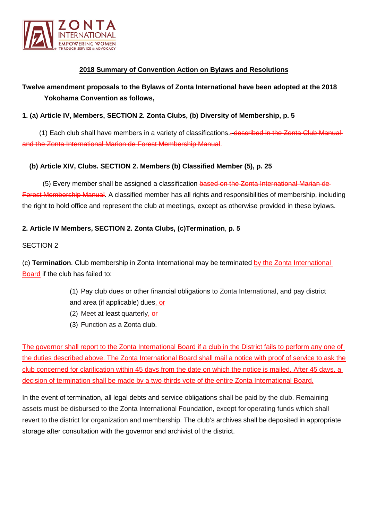

# **2018 Summary of Convention Action on Bylaws and Resolutions**

# **Twelve amendment proposals to the Bylaws of Zonta International have been adopted at the 2018 Yokohama Convention as follows,**

# **1. (a) Article IV, Members, SECTION 2. Zonta Clubs, (b) Diversity of Membership, p. 5**

(1) Each club shall have members in a variety of classifications., described in the Zonta Club Manual and the Zonta International Marion de Forest Membership Manual.

## **(b) Article XIV, Clubs. SECTION 2. Members (b) Classified Member (5), p. 25**

(5) Every member shall be assigned a classification based on the Zonta International Marian de-Forest Membership Manual. A classified member has all rights and responsibilities of membership, including the right to hold office and represent the club at meetings, except as otherwise provided in these bylaws.

# **2. Article IV Members, SECTION 2. Zonta Clubs, (c)Termination**, **p. 5**

#### SECTION 2

(c) **Termination**. Club membership in Zonta International may be terminated by the Zonta International Board if the club has failed to:

- (1) Pay club dues or other financial obligations to Zonta International, and pay district and area (if applicable) dues, or
- (2) Meet at least quarterly, or
- (3) Function as a Zonta club.

The governor shall report to the Zonta International Board if a club in the District fails to perform any one of the duties described above. The Zonta International Board shall mail a notice with proof of service to ask the club concerned for clarification within 45 days from the date on which the notice is mailed. After 45 days, a decision of termination shall be made by a two-thirds vote of the entire Zonta International Board.

In the event of termination, all legal debts and service obligations shall be paid by the club. Remaining assets must be disbursed to the Zonta International Foundation, except foroperating funds which shall revert to the district for organization and membership. The club's archives shall be deposited in appropriate storage after consultation with the governor and archivist of the district.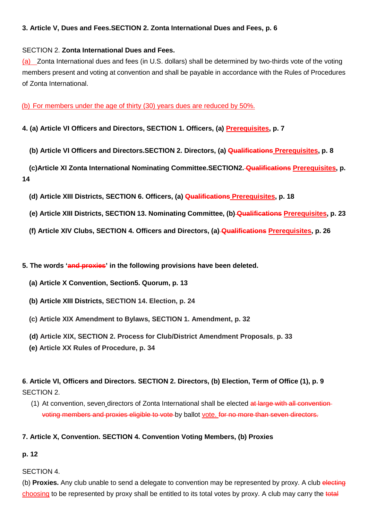# **3. Article V, Dues and Fees.SECTION 2. Zonta International Dues and Fees, p. 6**

## SECTION 2. **Zonta International Dues and Fees.**

(a) Zonta International dues and fees (in U.S. dollars) shall be determined by two-thirds vote of the voting members present and voting at convention and shall be payable in accordance with the Rules of Procedures of Zonta International.

(b) For members under the age of thirty (30) years dues are reduced by 50%.

**4. (a) Article VI Officers and Directors, SECTION 1. Officers, (a) Prerequisites, p. 7**

**(b) Article VI Officers and Directors.SECTION 2. Directors, (a) Qualifications Prerequisites, p. 8**

**(c)Article XI Zonta International Nominating Committee.SECTION2. Qualifications Prerequisites, p. 14**

**(d) Article XIII Districts, SECTION 6. Officers, (a) Qualifications Prerequisites, p. 18**

- **(e) Article XIII Districts, SECTION 13. Nominating Committee, (b) Qualifications Prerequisites, p. 23**
- **(f) Article XIV Clubs, SECTION 4. Officers and Directors, (a) Qualifications Prerequisites, p. 26**

**5. The words 'and proxies' in the following provisions have been deleted.**

- **(a) Article X Convention, Section5. Quorum, p. 13**
- **(b) Article XIII Districts, SECTION 14. Election, p. 24**
- **(c) Article XIX Amendment to Bylaws, SECTION 1. Amendment, p. 32**
- **(d) Article XIX, SECTION 2. Process for Club/District Amendment Proposals**, **p. 33**
- **(e) Article XX Rules of Procedure, p. 34**

# **6**. **Article VI, Officers and Directors. SECTION 2. Directors, (b) Election, Term of Office (1), p. 9** SECTION 2.

(1) At convention, seven directors of Zonta International shall be elected at large with all conventionvoting members and proxies eligible to vote by ballot vote. for no more than seven directors.

## **7. Article X, Convention. SECTION 4. Convention Voting Members, (b) Proxies**

# **p. 12**

# SECTION 4.

(b) **Proxies.** Any club unable to send a delegate to convention may be represented by proxy. A club electing choosing to be represented by proxy shall be entitled to its total votes by proxy. A club may carry the total